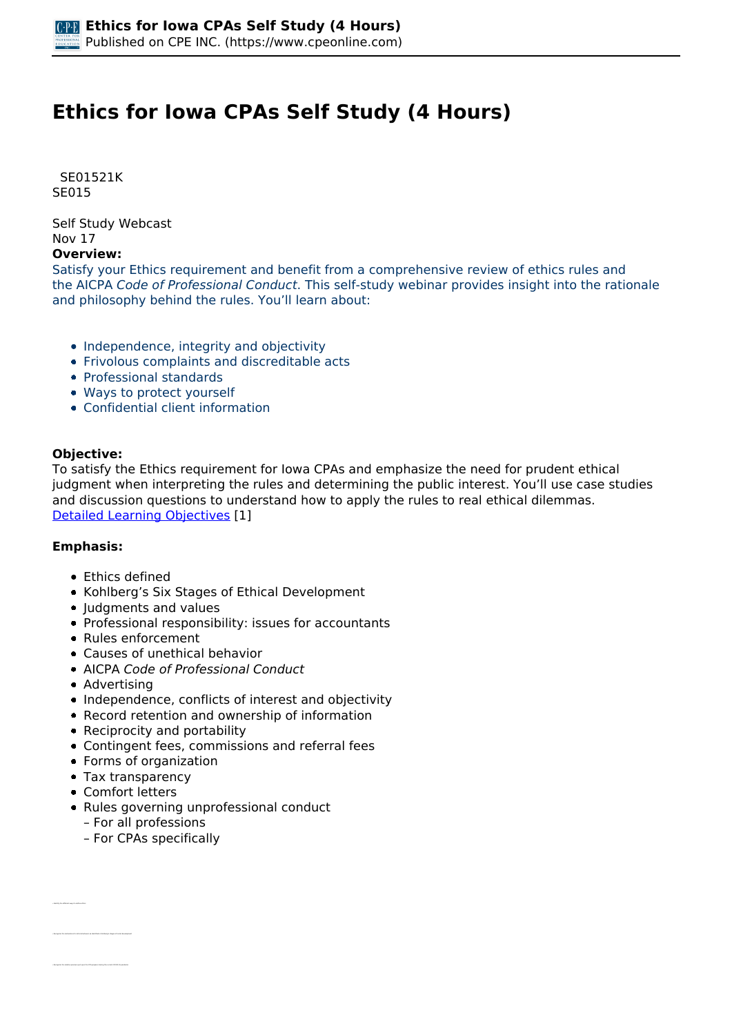# **Ethics for Iowa CPAs Self Study (4 Hours)**

 *SE01521K SE015* 

*Self Study Webcast Nov 17* 

**Overview:** 

*Satisfy your Ethics requirement and benefit from a comprehensive review of ethics rules and the AICPA Code of Professional Conduct. This self-study webinar provides insight into the rationale and philosophy behind the rules. You'll learn about:*

- *Independence, integrity and objectivity*
- *Frivolous complaints and discreditable acts*
- *Professional standards*
- *Ways to protect yourself*
- *Confidential client information*

### **Objective:**

*To satisfy the Ethics requirement for Iowa CPAs and emphasize the need for prudent ethical judgment when interpreting the rules and determining the public interest. You'll use case studies and discussion questions to understand how to apply the rules to real ethical dilemmas. [Detailed Learning Objectives](https://www.cpeonline.com/JavaScript:showObjectivesPopup();) [1]*

### **Emphasis:**

- *Ethics defined*
- *Kohlberg's Six Stages of Ethical Development*
- *Judgments and values*
- *Professional responsibility: issues for accountants*
- *Rules enforcement*
- *Causes of unethical behavior*
- *AICPA Code of Professional Conduct*
- *Advertising*
- *Independence, conflicts of interest and objectivity*
- *Record retention and ownership of information*
- *Reciprocity and portability*
- *Contingent fees, commissions and referral fees*
- *Forms of organization*
- *Tax transparency*
- *Comfort letters*

*• Identify the different ways to define ethics*

- *Rules governing unprofessional conduct*
	- *For all professions*
	- *For CPAs specifically*